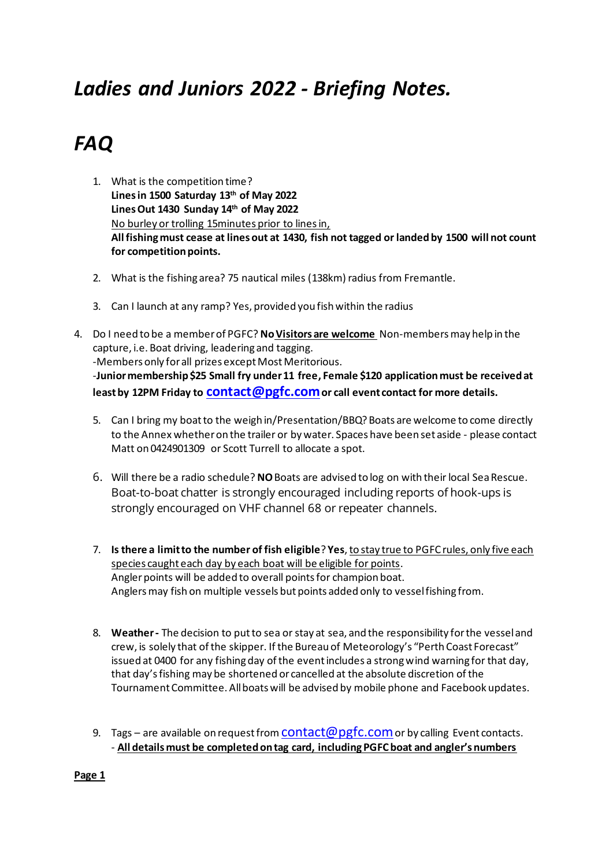## *Ladies and Juniors 2022 - Briefing Notes.*

# *FAQ*

- 1. What is the competition time? **Lines in 1500 Saturday 13th of May 2022 Lines Out 1430 Sunday 14th of May 2022** No burley or trolling 15minutes prior to lines in, **All fishing must cease at lines out at 1430, fish not tagged or landed by 1500 will not count for competition points.**
- 2. What is the fishing area? 75 nautical miles (138km) radius from Fremantle.
- 3. Can I launch at any ramp? Yes, provided you fish within the radius
- 4. Do I need to be a member of PGFC? **NoVisitors are welcome** Non-membersmay help in the capture, i.e. Boat driving, leadering and tagging. -Members only for all prizes except Most Meritorious. -**Junior membership \$25 Small fry under 11 free, Female \$120 application must be received at least by 12PM Friday to [contact@pgfc.com](mailto:contact@pgfc.com)or call event contact for more details.**
	- 5. Can I bring my boat to the weigh in/Presentation/BBQ? Boats are welcome to come directly to the Annex whether on the trailer or by water. Spaces have been set aside - please contact Matt on 0424901309 or Scott Turrell to allocate a spot.
	- 6. Will there be a radio schedule? **NO**Boats are advised to log on with their local Sea Rescue. Boat-to-boat chatter is strongly encouraged including reports of hook-ups is strongly encouraged on VHF channel 68 or repeater channels.
	- 7. **Is there a limit to the number of fish eligible**? **Yes**, to stay true to PGFC rules, only five each species caught each day by each boat will be eligible for points. Angler points will be added to overall points for champion boat. Anglers may fish on multiple vessels but points added only to vessel fishing from.
	- 8. **Weather -** The decision to put to sea or stay at sea, and the responsibility for the vessel and crew, is solely that of the skipper. If the Bureau of Meteorology's "Perth Coast Forecast" issued at 0400 for any fishing day of the event includes a strong wind warning for that day, that day's fishing may be shortened or cancelled at the absolute discretion of the Tournament Committee. All boats will be advised by mobile phone and Facebook updates.
	- 9. Tags are available on request from **CONTACT @ pgfc.com** or by calling Event contacts. - **All details must be completed on tag card, including PGFC boat and angler's numbers**

**Page 1**